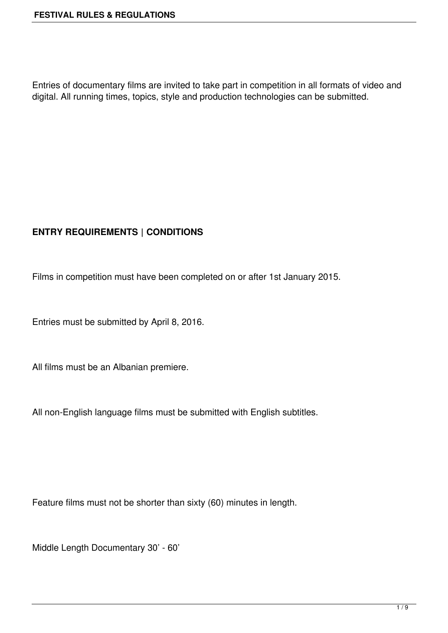Entries of documentary films are invited to take part in competition in all formats of video and digital. All running times, topics, style and production technologies can be submitted.

# **ENTRY REQUIREMENTS | CONDITIONS**

Films in competition must have been completed on or after 1st January 2015.

Entries must be submitted by April 8, 2016.

All films must be an Albanian premiere.

All non-English language films must be submitted with English subtitles.

Feature films must not be shorter than sixty (60) minutes in length.

Middle Length Documentary 30' - 60'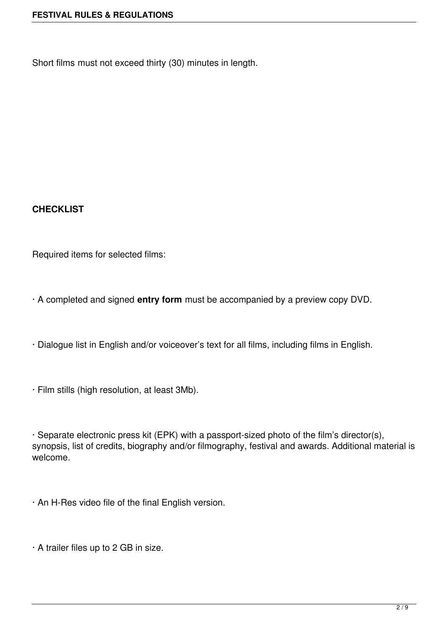Short films must not exceed thirty (30) minutes in length.

#### **CHECKLIST**

Required items for selected films:

· A completed and signed **entry form** must be accompanied by a preview copy DVD.

· Dialogue list in English and/or voiceover's text for all films, including films in English.

· Film stills (high resolution, at least 3Mb).

· Separate electronic press kit (EPK) with a passport-sized photo of the film's director(s), synopsis, list of credits, biography and/or filmography, festival and awards. Additional material is welcome.

· An H-Res video file of the final English version.

· A trailer files up to 2 GB in size.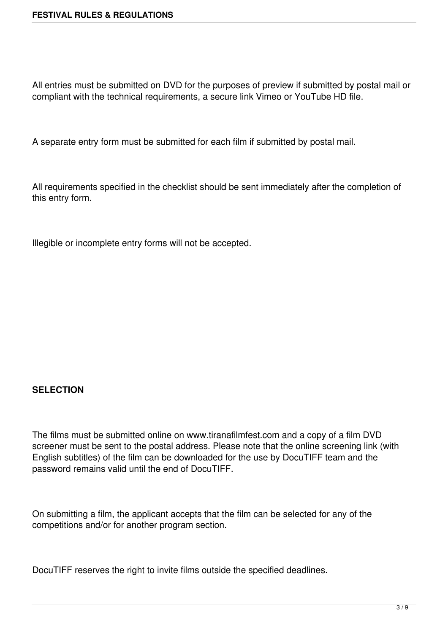All entries must be submitted on DVD for the purposes of preview if submitted by postal mail or compliant with the technical requirements, a secure link Vimeo or YouTube HD file.

A separate entry form must be submitted for each film if submitted by postal mail.

All requirements specified in the checklist should be sent immediately after the completion of this entry form.

Illegible or incomplete entry forms will not be accepted.

#### **SELECTION**

The films must be submitted online on www.tiranafilmfest.com and a copy of a film DVD screener must be sent to the postal address. Please note that the online screening link (with English subtitles) of the film can be downloaded for the use by DocuTIFF team and the password remains valid until the end of DocuTIFF.

On submitting a film, the applicant accepts that the film can be selected for any of the competitions and/or for another program section.

DocuTIFF reserves the right to invite films outside the specified deadlines.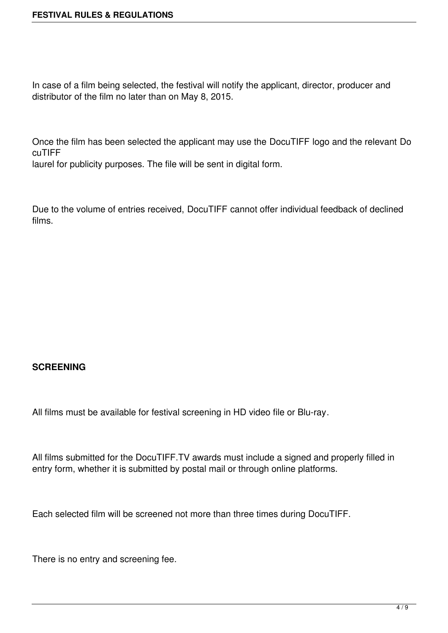In case of a film being selected, the festival will notify the applicant, director, producer and distributor of the film no later than on May 8, 2015.

Once the film has been selected the applicant may use the DocuTIFF logo and the relevant Do cuTIFF

laurel for publicity purposes. The file will be sent in digital form.

Due to the volume of entries received, DocuTIFF cannot offer individual feedback of declined films.

#### **SCREENING**

All films must be available for festival screening in HD video file or Blu-ray.

All films submitted for the DocuTIFF.TV awards must include a signed and properly filled in entry form, whether it is submitted by postal mail or through online platforms.

Each selected film will be screened not more than three times during DocuTIFF.

There is no entry and screening fee.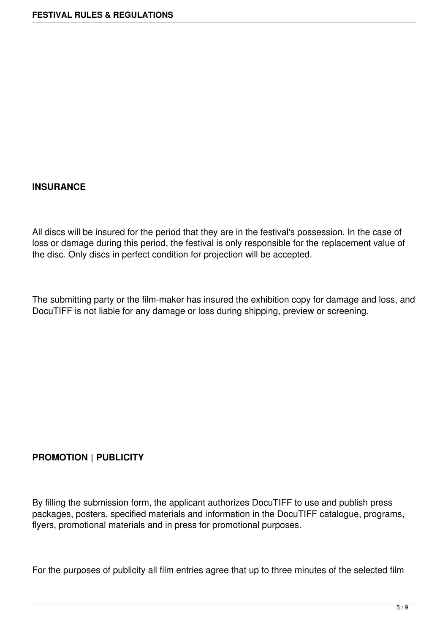#### **INSURANCE**

All discs will be insured for the period that they are in the festival's possession. In the case of loss or damage during this period, the festival is only responsible for the replacement value of the disc. Only discs in perfect condition for projection will be accepted.

The submitting party or the film-maker has insured the exhibition copy for damage and loss, and DocuTIFF is not liable for any damage or loss during shipping, preview or screening.

#### **PROMOTION | PUBLICITY**

By filling the submission form, the applicant authorizes DocuTIFF to use and publish press packages, posters, specified materials and information in the DocuTIFF catalogue, programs, flyers, promotional materials and in press for promotional purposes.

For the purposes of publicity all film entries agree that up to three minutes of the selected film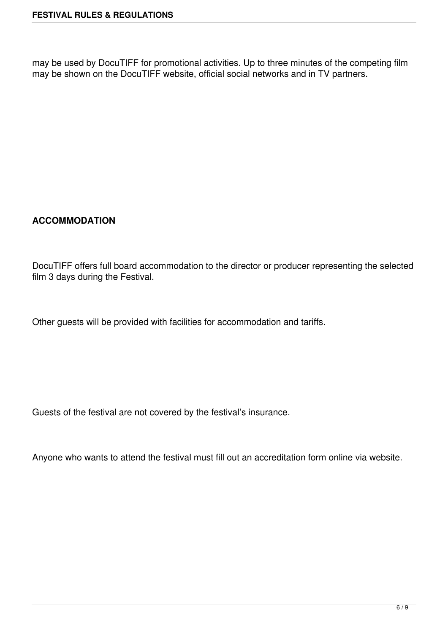may be used by DocuTIFF for promotional activities. Up to three minutes of the competing film may be shown on the DocuTIFF website, official social networks and in TV partners.

## **ACCOMMODATION**

DocuTIFF offers full board accommodation to the director or producer representing the selected film 3 days during the Festival.

Other guests will be provided with facilities for accommodation and tariffs.

Guests of the festival are not covered by the festival's insurance.

Anyone who wants to attend the festival must fill out an accreditation form online via website.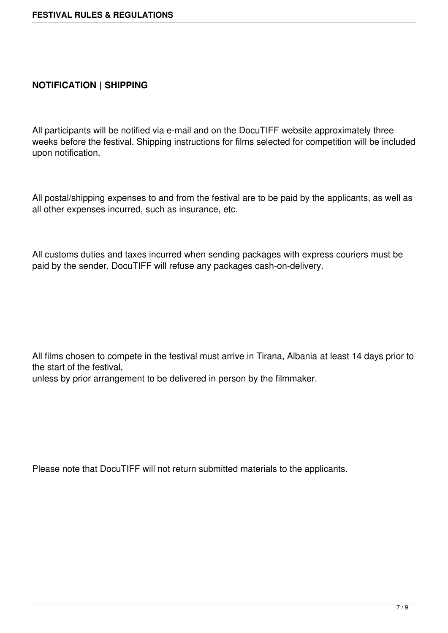### **NOTIFICATION | SHIPPING**

All participants will be notified via e-mail and on the DocuTIFF website approximately three weeks before the festival. Shipping instructions for films selected for competition will be included upon notification.

All postal/shipping expenses to and from the festival are to be paid by the applicants, as well as all other expenses incurred, such as insurance, etc.

All customs duties and taxes incurred when sending packages with express couriers must be paid by the sender. DocuTIFF will refuse any packages cash-on-delivery.

All films chosen to compete in the festival must arrive in Tirana, Albania at least 14 days prior to the start of the festival,

unless by prior arrangement to be delivered in person by the filmmaker.

Please note that DocuTIFF will not return submitted materials to the applicants.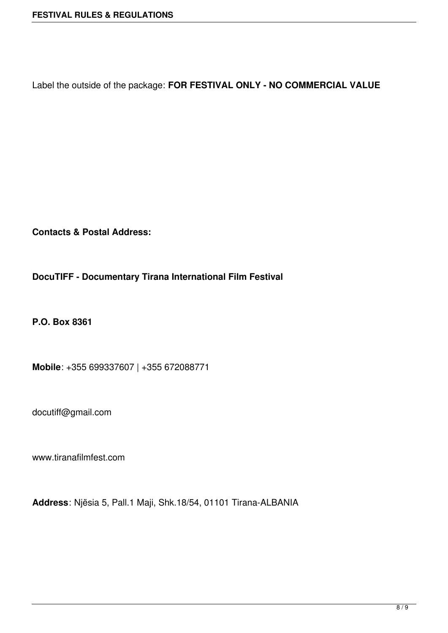Label the outside of the package: **FOR FESTIVAL ONLY - NO COMMERCIAL VALUE**

**Contacts & Postal Address:**

**DocuTIFF - Documentary Tirana International Film Festival**

**P.O. Box 8361**

**Mobile**: +355 699337607 | +355 672088771

docutiff@gmail.com

www.tiranafilmfest.com

**Address**: Njësia 5, Pall.1 Maji, Shk.18/54, 01101 Tirana-ALBANIA